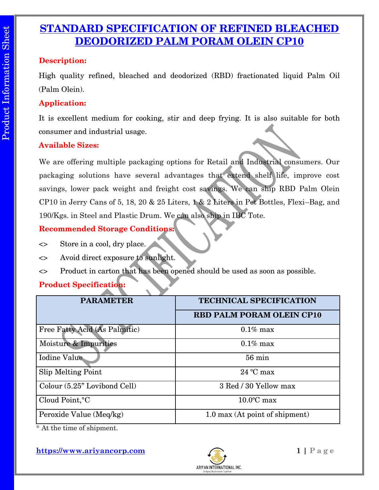# **STANDARD SPECIFICATION OF REFINED BLEACHED DEODORIZED PALM PORAM OLEIN CP10**

### **Description:**

High quality refined, bleached and deodorized (RBD) fractionated liquid Palm Oil (Palm Olein).

## **Application:**

It is excellent medium for cooking, stir and deep frying. It is also suitable for both consumer and industrial usage.

## **Available Sizes:**

We are offering multiple packaging options for Retail and Industrial consumers. Our packaging solutions have several advantages that extend shelf life, improve cost savings, lower pack weight and freight cost savings. We can ship RBD Palm Olein CP10 in Jerry Cans of 5, 18, 20 & 25 Liters, 1 & 2 Liters in Pet Bottles, Flexi–Bag, and 190/Kgs. in Steel and Plastic Drum. We can also ship in IBC Tote.

## **Recommended Storage Conditions:**

- <> Store in a cool, dry place.
- <> Avoid direct exposure to sunlight.
- <> Product in carton that has been opened should be used as soon as possible.

## **Product Specification:**

| <b>PARAMETER</b>              | <b>TECHNICAL SPECIFICATION</b>   |
|-------------------------------|----------------------------------|
|                               |                                  |
|                               | <b>RBD PALM PORAM OLEIN CP10</b> |
| Free Fatty Acid (As Palmitic) | $0.1\%$ max                      |
| Moisture & Impurities         | $0.1\%$ max                      |
| Iodine Value                  | $56 \text{ min}$                 |
| Slip Melting Point            | $24 °C$ max                      |
| Colour (5.25" Lovibond Cell)  | 3 Red / 30 Yellow max            |
| Cloud Point, °C               | $10.0$ °C max                    |
| Peroxide Value (Meq/kg)       | 1.0 max (At point of shipment)   |

\* At the time of shipment.

**https://www.ariyancorp.com 1 | P a g e**